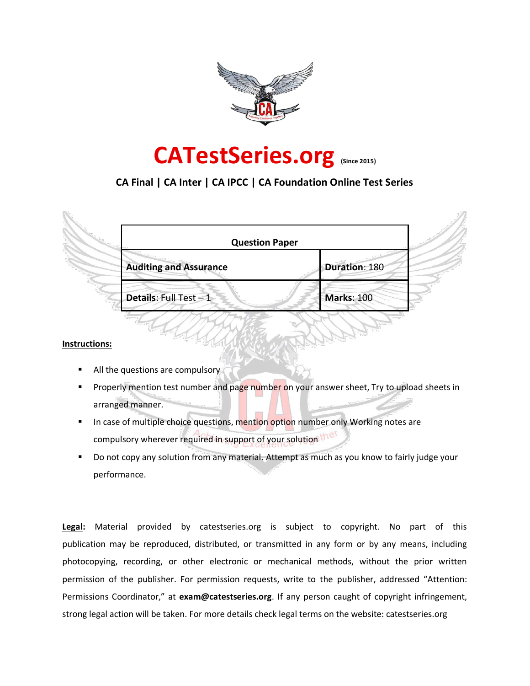

# **CATestSeries.org (Since 2015)**

## **CA Final | CA Inter | CA IPCC | CA Foundation Online Test Series**

|                               | <b>Question Paper</b> |
|-------------------------------|-----------------------|
| <b>Auditing and Assurance</b> | Duration: 180         |
| Details: Full Test -1         | <b>Marks: 100</b>     |

#### **Instructions:**

- All the questions are compulsory
- Properly mention test number and page number on your answer sheet, Try to upload sheets in arranged manner.
- In case of multiple choice questions, mention option number only Working notes are compulsory wherever required in support of your solution the
- Do not copy any solution from any material. Attempt as much as you know to fairly judge your performance.

**Legal:** Material provided by catestseries.org is subject to copyright. No part of this publication may be reproduced, distributed, or transmitted in any form or by any means, including photocopying, recording, or other electronic or mechanical methods, without the prior written permission of the publisher. For permission requests, write to the publisher, addressed "Attention: Permissions Coordinator," at **exam@catestseries.org**. If any person caught of copyright infringement, strong legal action will be taken. For more details check legal terms on the website: catestseries.org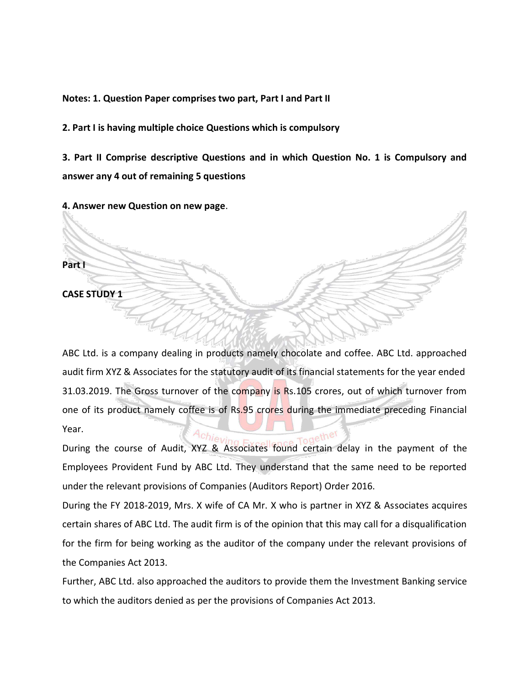**Notes: 1. Question Paper comprises two part, Part I and Part II**

**2. Part I is having multiple choice Questions which is compulsory**

**3. Part II Comprise descriptive Questions and in which Question No. 1 is Compulsory and answer any 4 out of remaining 5 questions**

**4. Answer new Question on new page**.

**Part I**

**CASE STUDY 1**

ABC Ltd. is a company dealing in products namely chocolate and coffee. ABC Ltd. approached audit firm XYZ & Associates for the statutory audit of its financial statements for the year ended 31.03.2019. The Gross turnover of the company is Rs.105 crores, out of which turnover from one of its product namely coffee is of Rs.95 crores during the immediate preceding Financial Year. Achiev

During the course of Audit, XYZ & Associates found certain delay in the payment of the Employees Provident Fund by ABC Ltd. They understand that the same need to be reported under the relevant provisions of Companies (Auditors Report) Order 2016.

During the FY 2018-2019, Mrs. X wife of CA Mr. X who is partner in XYZ & Associates acquires certain shares of ABC Ltd. The audit firm is of the opinion that this may call for a disqualification for the firm for being working as the auditor of the company under the relevant provisions of the Companies Act 2013.

Further, ABC Ltd. also approached the auditors to provide them the Investment Banking service to which the auditors denied as per the provisions of Companies Act 2013.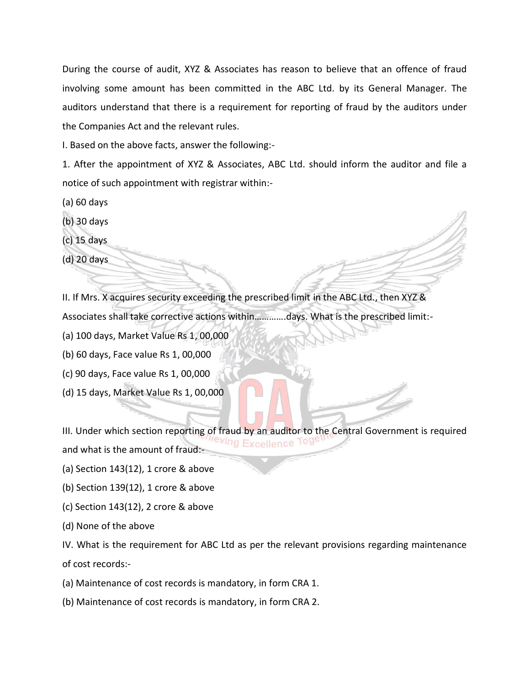During the course of audit, XYZ & Associates has reason to believe that an offence of fraud involving some amount has been committed in the ABC Ltd. by its General Manager. The auditors understand that there is a requirement for reporting of fraud by the auditors under the Companies Act and the relevant rules.

I. Based on the above facts, answer the following:-

1. After the appointment of XYZ & Associates, ABC Ltd. should inform the auditor and file a notice of such appointment with registrar within:-

- (a) 60 days
- (b) 30 days
- (c) 15 days

(d) 20 days

II. If Mrs. X acquires security exceeding the prescribed limit in the ABC Ltd., then XYZ &

Associates shall take corrective actions within………….days. What is the prescribed limit:-

- (a) 100 days, Market Value Rs 1, 00,000
- (b) 60 days, Face value Rs 1, 00,000
- (c) 90 days, Face value Rs 1, 00,000
- (d) 15 days, Market Value Rs 1, 00,000

III. Under which section reporting of fraud by an auditor to the Central Government is required<br>Interving Excellence Togetti and what is the amount of fraud:-

- (a) Section 143(12), 1 crore & above
- (b) Section 139(12), 1 crore & above
- (c) Section 143(12), 2 crore & above
- (d) None of the above

IV. What is the requirement for ABC Ltd as per the relevant provisions regarding maintenance of cost records:-

- (a) Maintenance of cost records is mandatory, in form CRA 1.
- (b) Maintenance of cost records is mandatory, in form CRA 2.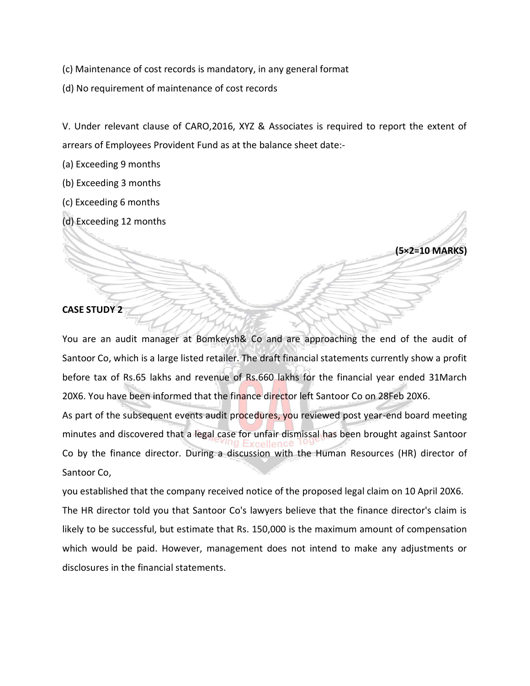(c) Maintenance of cost records is mandatory, in any general format

(d) No requirement of maintenance of cost records

V. Under relevant clause of CARO,2016, XYZ & Associates is required to report the extent of arrears of Employees Provident Fund as at the balance sheet date:-

**(5×2=10 MARKS)**

(a) Exceeding 9 months

(b) Exceeding 3 months

(c) Exceeding 6 months

(d) Exceeding 12 months

**CASE STUDY 2**

You are an audit manager at Bomkeysh& Co and are approaching the end of the audit of Santoor Co, which is a large listed retailer. The draft financial statements currently show a profit before tax of Rs.65 lakhs and revenue of Rs.660 lakhs for the financial year ended 31March 20X6. You have been informed that the finance director left Santoor Co on 28Feb 20X6.

As part of the subsequent events audit procedures, you reviewed post year-end board meeting minutes and discovered that a legal case for unfair dismissal has been brought against Santoor Co by the finance director. During a discussion with the Human Resources (HR) director of Santoor Co,

you established that the company received notice of the proposed legal claim on 10 April 20X6. The HR director told you that Santoor Co's lawyers believe that the finance director's claim is likely to be successful, but estimate that Rs. 150,000 is the maximum amount of compensation which would be paid. However, management does not intend to make any adjustments or disclosures in the financial statements.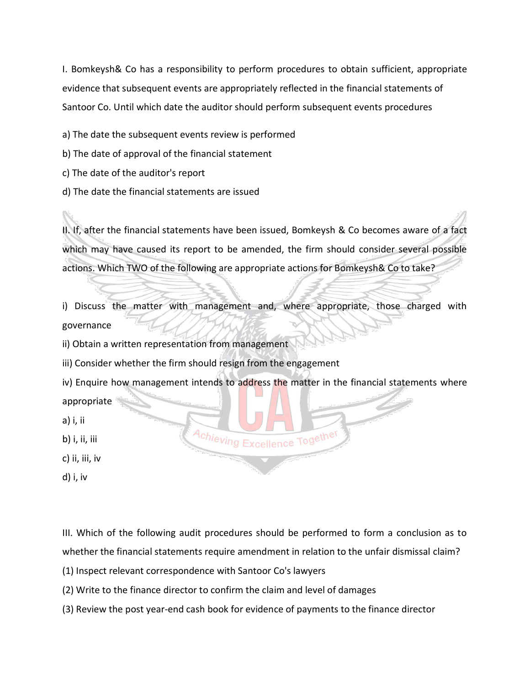I. Bomkeysh& Co has a responsibility to perform procedures to obtain sufficient, appropriate evidence that subsequent events are appropriately reflected in the financial statements of Santoor Co. Until which date the auditor should perform subsequent events procedures

a) The date the subsequent events review is performed

b) The date of approval of the financial statement

- c) The date of the auditor's report
- d) The date the financial statements are issued

II. If, after the financial statements have been issued, Bomkeysh & Co becomes aware of a fact which may have caused its report to be amended, the firm should consider several possible actions. Which TWO of the following are appropriate actions for Bomkeysh& Co to take?

i) Discuss the matter with management and, where appropriate, those charged with governance

ii) Obtain a written representation from management

iii) Consider whether the firm should resign from the engagement

iv) Enquire how management intends to address the matter in the financial statements where

Achieving Excellence Together

appropriate

a) i, ii

b) i, ii, iii

c) ii, iii, iv

d) i, iv

III. Which of the following audit procedures should be performed to form a conclusion as to

whether the financial statements require amendment in relation to the unfair dismissal claim?

(1) Inspect relevant correspondence with Santoor Co's lawyers

(2) Write to the finance director to confirm the claim and level of damages

(3) Review the post year-end cash book for evidence of payments to the finance director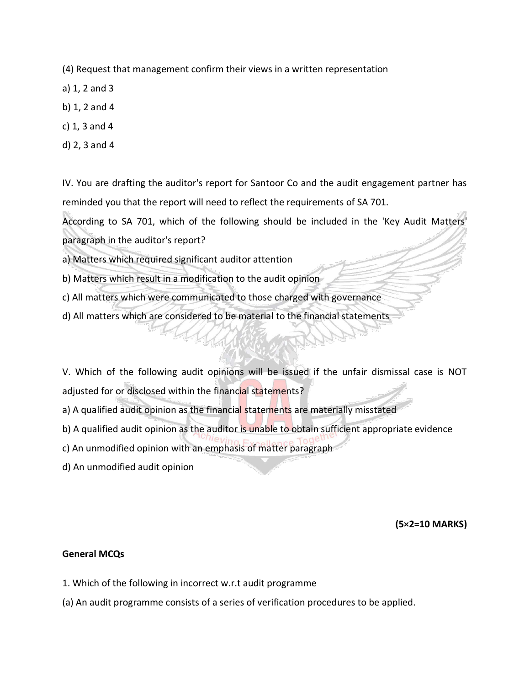(4) Request that management confirm their views in a written representation

- a) 1, 2 and 3
- b) 1, 2 and 4
- c) 1, 3 and 4
- d) 2, 3 and 4

IV. You are drafting the auditor's report for Santoor Co and the audit engagement partner has reminded you that the report will need to reflect the requirements of SA 701.

According to SA 701, which of the following should be included in the 'Key Audit Matters' paragraph in the auditor's report?

- a) Matters which required significant auditor attention
- b) Matters which result in a modification to the audit opinion
- c) All matters which were communicated to those charged with governance
- d) All matters which are considered to be material to the financial statements

V. Which of the following audit opinions will be issued if the unfair dismissal case is NOT adjusted for or disclosed within the financial statements?

- a) A qualified audit opinion as the financial statements are materially misstated
- b) A qualified audit opinion as the auditor is unable to obtain sufficient appropriate evidence
- c) An unmodified opinion with an emphasis of matter paragraph
- d) An unmodified audit opinion

**(5×2=10 MARKS)**

## **General MCQs**

- 1. Which of the following in incorrect w.r.t audit programme
- (a) An audit programme consists of a series of verification procedures to be applied.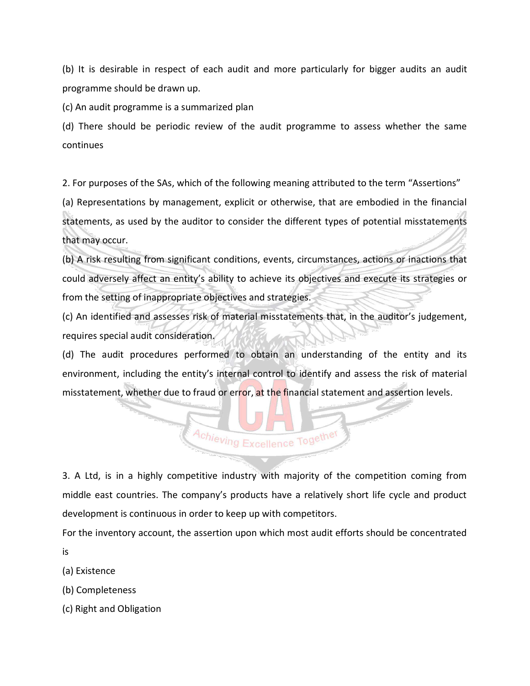(b) It is desirable in respect of each audit and more particularly for bigger audits an audit programme should be drawn up.

(c) An audit programme is a summarized plan

(d) There should be periodic review of the audit programme to assess whether the same continues

2. For purposes of the SAs, which of the following meaning attributed to the term "Assertions"

(a) Representations by management, explicit or otherwise, that are embodied in the financial statements, as used by the auditor to consider the different types of potential misstatements that may occur.

(b) A risk resulting from significant conditions, events, circumstances, actions or inactions that could adversely affect an entity's ability to achieve its objectives and execute its strategies or from the setting of inappropriate objectives and strategies.

(c) An identified and assesses risk of material misstatements that, in the auditor's judgement, requires special audit consideration.

(d) The audit procedures performed to obtain an understanding of the entity and its environment, including the entity's internal control to identify and assess the risk of material misstatement, whether due to fraud or error, at the financial statement and assertion levels.

3. A Ltd, is in a highly competitive industry with majority of the competition coming from middle east countries. The company's products have a relatively short life cycle and product development is continuous in order to keep up with competitors.

Achieving Excellence Together

For the inventory account, the assertion upon which most audit efforts should be concentrated is

- (a) Existence
- (b) Completeness
- (c) Right and Obligation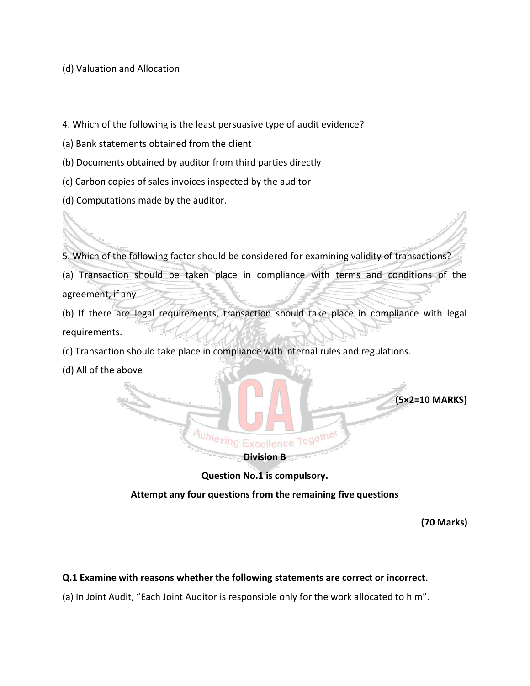(d) Valuation and Allocation

4. Which of the following is the least persuasive type of audit evidence?

- (a) Bank statements obtained from the client
- (b) Documents obtained by auditor from third parties directly
- (c) Carbon copies of sales invoices inspected by the auditor
- (d) Computations made by the auditor.

5. Which of the following factor should be considered for examining validity of transactions?

(a) Transaction should be taken place in compliance with terms and conditions of the agreement, if any

(b) If there are legal requirements, transaction should take place in compliance with legal requirements.

(c) Transaction should take place in compliance with internal rules and regulations.

(d) All of the above



**Question No.1 is compulsory.**

**Attempt any four questions from the remaining five questions**

**(70 Marks)**

## **Q.1 Examine with reasons whether the following statements are correct or incorrect**.

(a) In Joint Audit, "Each Joint Auditor is responsible only for the work allocated to him".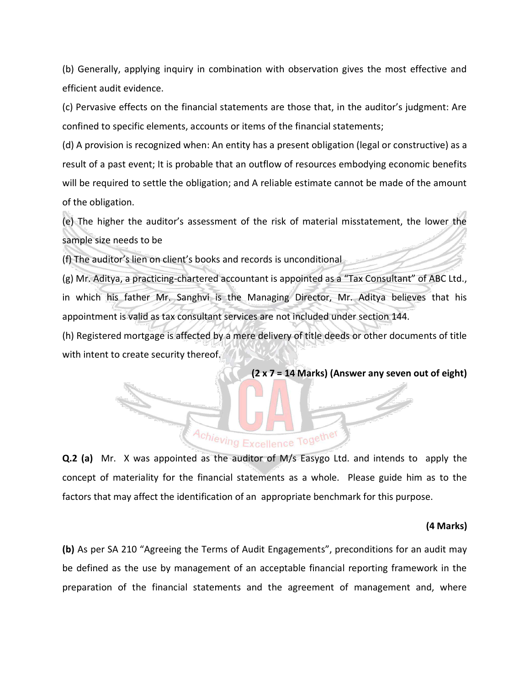(b) Generally, applying inquiry in combination with observation gives the most effective and efficient audit evidence.

(c) Pervasive effects on the financial statements are those that, in the auditor's judgment: Are confined to specific elements, accounts or items of the financial statements;

(d) A provision is recognized when: An entity has a present obligation (legal or constructive) as a result of a past event; It is probable that an outflow of resources embodying economic benefits will be required to settle the obligation; and A reliable estimate cannot be made of the amount of the obligation.

(e) The higher the auditor's assessment of the risk of material misstatement, the lower the sample size needs to be

(f) The auditor's lien on client's books and records is unconditional

(g) Mr. Aditya, a practicing-chartered accountant is appointed as a "Tax Consultant" of ABC Ltd., in which his father Mr. Sanghvi is the Managing Director, Mr. Aditya believes that his appointment is valid as tax consultant services are not included under section 144.

(h) Registered mortgage is affected by a mere delivery of title deeds or other documents of title with intent to create security thereof.

**(2 x 7 = 14 Marks) (Answer any seven out of eight)**

## **Q.2 (a)** Mr. X was appointed as the auditor of M/s Easygo Ltd. and intends to apply the

Achieving Excellence Together

concept of materiality for the financial statements as a whole. Please guide him as to the factors that may affect the identification of an appropriate benchmark for this purpose.

#### **(4 Marks)**

**(b)** As per SA 210 "Agreeing the Terms of Audit Engagements", preconditions for an audit may be defined as the use by management of an acceptable financial reporting framework in the preparation of the financial statements and the agreement of management and, where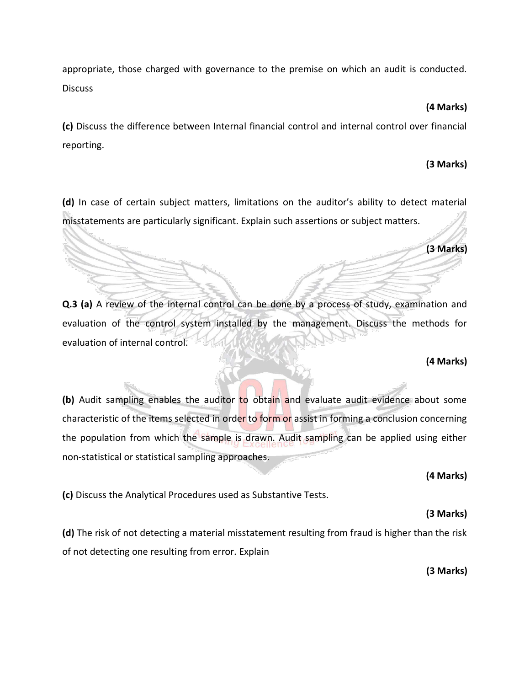appropriate, those charged with governance to the premise on which an audit is conducted. **Discuss** 

#### **(4 Marks)**

**(c)** Discuss the difference between Internal financial control and internal control over financial reporting.

## **(3 Marks)**

**(d)** In case of certain subject matters, limitations on the auditor's ability to detect material misstatements are particularly significant. Explain such assertions or subject matters.

**(3 Marks)**

**Q.3 (a)** A review of the internal control can be done by a process of study, examination and evaluation of the control system installed by the management. Discuss the methods for evaluation of internal control.

## **(4 Marks)**

**(b)** Audit sampling enables the auditor to obtain and evaluate audit evidence about some characteristic of the items selected in order to form or assist in forming a conclusion concerning the population from which the sample is drawn. Audit sampling can be applied using either non-statistical or statistical sampling approaches.

**(4 Marks)** 

**(c)** Discuss the Analytical Procedures used as Substantive Tests.

## **(3 Marks)**

**(d)** The risk of not detecting a material misstatement resulting from fraud is higher than the risk of not detecting one resulting from error. Explain

**(3 Marks)**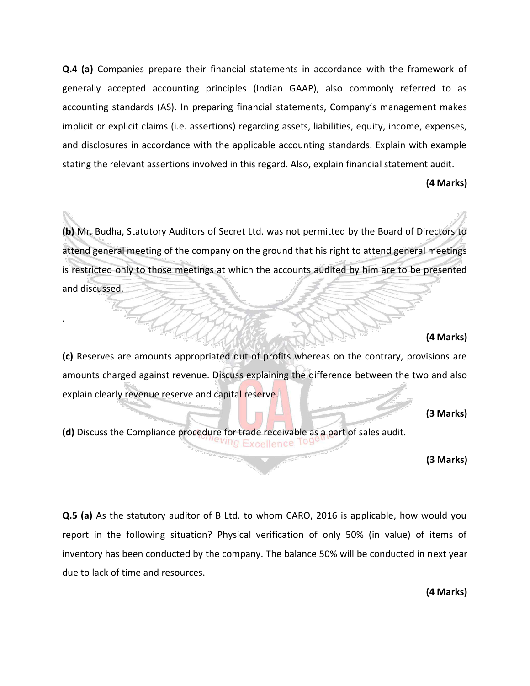**Q.4 (a)** Companies prepare their financial statements in accordance with the framework of generally accepted accounting principles (Indian GAAP), also commonly referred to as accounting standards (AS). In preparing financial statements, Company's management makes implicit or explicit claims (i.e. assertions) regarding assets, liabilities, equity, income, expenses, and disclosures in accordance with the applicable accounting standards. Explain with example stating the relevant assertions involved in this regard. Also, explain financial statement audit.

#### **(4 Marks)**

**(b)** Mr. Budha, Statutory Auditors of Secret Ltd. was not permitted by the Board of Directors to attend general meeting of the company on the ground that his right to attend general meetings is restricted only to those meetings at which the accounts audited by him are to be presented and discussed.

#### **(4 Marks)**

**(c)** Reserves are amounts appropriated out of profits whereas on the contrary, provisions are amounts charged against revenue. Discuss explaining the difference between the two and also explain clearly revenue reserve and capital reserve.

**(3 Marks)**

**(d)** Discuss the Compliance procedure for trade receivable as a part of sales audit.

.

#### **(3 Marks)**

**Q.5 (a)** As the statutory auditor of B Ltd. to whom CARO, 2016 is applicable, how would you report in the following situation? Physical verification of only 50% (in value) of items of inventory has been conducted by the company. The balance 50% will be conducted in next year due to lack of time and resources.

**(4 Marks)**